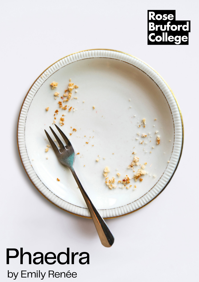

THEFERE

## Phaedra by Emily Renée